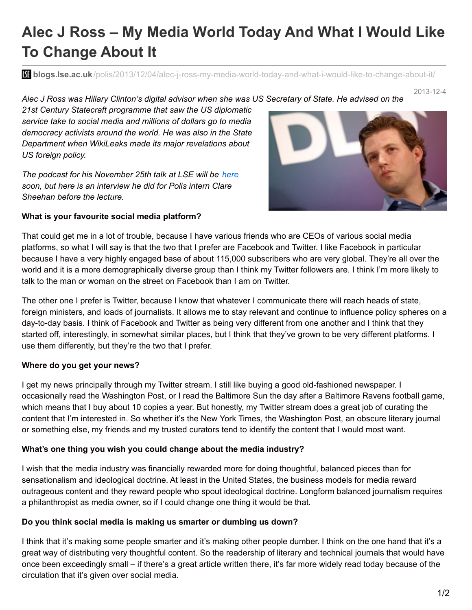# **Alec J Ross – My Media World Today And What I Would Like To Change About It**

**bli blogs.lse.ac.uk**[/polis/2013/12/04/alec-j-ross-my-media-world-today-and-what-i-would-like-to-change-about-it/](http://blogs.lse.ac.uk/polis/2013/12/04/alec-j-ross-my-media-world-today-and-what-i-would-like-to-change-about-it/)

#### 2013-12-4 Alec J Ross was Hillary Clinton's digital advisor when she was US Secretary of State. He advised on the

*21st Century Statecraft programme that saw the US diplomatic service take to social media and millions of dollars go to media democracy activists around the world. He was also in the State Department when WikiLeaks made its major revelations about US foreign policy.*

*The podcast for his November 25th talk at LSE will be [here](http://www.lse.ac.uk/newsAndMedia/videoAndAudio/channels/publicLecturesAndEvents/Home.aspx) soon, but here is an interview he did for Polis intern Clare Sheehan before the lecture.*

#### **What is your favourite social media platform?**

That could get me in a lot of trouble, because I have various friends who are CEOs of various social media platforms, so what I will say is that the two that I prefer are Facebook and Twitter. I like Facebook in particular because I have a very highly engaged base of about 115,000 subscribers who are very global. They're all over the world and it is a more demographically diverse group than I think my Twitter followers are. I think I'm more likely to talk to the man or woman on the street on Facebook than I am on Twitter.

The other one I prefer is Twitter, because I know that whatever I communicate there will reach heads of state, foreign ministers, and loads of journalists. It allows me to stay relevant and continue to influence policy spheres on a day-to-day basis. I think of Facebook and Twitter as being very different from one another and I think that they started off, interestingly, in somewhat similar places, but I think that they've grown to be very different platforms. I use them differently, but they're the two that I prefer.

## **Where do you get your news?**

I get my news principally through my Twitter stream. I still like buying a good old-fashioned newspaper. I occasionally read the Washington Post, or I read the Baltimore Sun the day after a Baltimore Ravens football game, which means that I buy about 10 copies a year. But honestly, my Twitter stream does a great job of curating the content that I'm interested in. So whether it's the New York Times, the Washington Post, an obscure literary journal or something else, my friends and my trusted curators tend to identify the content that I would most want.

## **What's one thing you wish you could change about the media industry?**

I wish that the media industry was financially rewarded more for doing thoughtful, balanced pieces than for sensationalism and ideological doctrine. At least in the United States, the business models for media reward outrageous content and they reward people who spout ideological doctrine. Longform balanced journalism requires a philanthropist as media owner, so if I could change one thing it would be that.

## **Do you think social media is making us smarter or dumbing us down?**

I think that it's making some people smarter and it's making other people dumber. I think on the one hand that it's a great way of distributing very thoughtful content. So the readership of literary and technical journals that would have once been exceedingly small – if there's a great article written there, it's far more widely read today because of the circulation that it's given over social media.